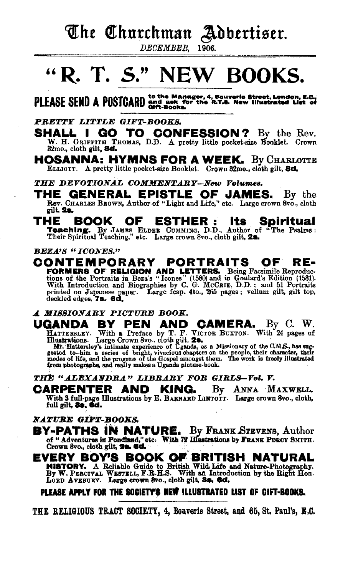## The Churchman Adbertiser.

DECEMBER. 1906.

# "R. T. S." NEW BOOKS.

PLEASE SEND A POSTCARD and ask for the R.T.S. New Illustrated List of

#### PRETTY LITTLE GIFT-BOOKS.

**SHALL I GO TO CONFESSION?** By the Rev. W. H. GRIFFITH THOMAS, D.D. A pretty little pocket-size Booklet. Crown 32mo., cloth gilt, 8d.

**HOSANNA: HYMNS FOR A WEEK.** By Charlotte ELLIOTT. A pretty little pocket-size Booklet. Crown 32mo., cloth gilt. 8d.

THE DEVOTIONAL COMMENTARY-New Volumes.

THE GENERAL EPISTLE OF JAMES. By the Rev. CHARLES BROWN, Author of "Light and Life," etc. Large crown 8vo., cloth gilt, 2s.

#### THE BOOK OF ESTHER : lts: Spiritual

Teaching. By JAMES ELDER CUMMING, D.D., Author of "The Psalms:<br>Their Spiritual Teaching," etc. Large crown 8vo., cloth gilt, 28.

#### **BEZA'S "ICONES."**

CONTEMPORARY PORTRAITS OF . RE-FORMERS OF RELIGION AND LETTERS. Being Facsimile Reproductions of the Portraits in Beza's "Icones" (1580) and in Goulard's Edition (1581). With Introduction and Biographies by C. G. McCare, D.D.; and 51 Portraits printed o deckled edges, 7s. 6d.

#### A MISSIONARY PICTURE BOOK.

**GANDA BY PEN AND CAMERA.** By C. W.<br>HATTERIEY. With a Preface by T. F. VICTOR BUXTON. With 24 pages of<br>Illustrations. Large Crown 8vo., cloth gilt, 28.<br>Mr. Hattersley's intimate experience of Uganda, as a Missionary of the UGANDA

THE "ALEXANDRA" LIBRARY FOR GIRLS-Vol. V.

CARPENTER AND KING. By ANNA MAXWELL. With 3 full-page Illustrations by E. BARNARD LINTOTT. Large crown 8vo., cloth, full gilt, 3s, 6d.

### NATURE GIFT-BOOKS.

**BY-PATHS IN NATURE.** By FRANK STEVENS, Author of "Adventures in Pondiand," etc. With 72 Hustrations by FRANK PERCY SMITH. Crown 8vo., cloth gilt, 20. 6d.

**EVERY BOY'S BOOK OF BRITISH NATURAL** HISTORY. A Reliable Guide to British Wild Life and Nature-Photography.<br>By W. PERCIVAL WESTELL, F.R.H.S. With an Introduction by the Right Hon.<br>LORD AVEBURY. Large crown 8vo., cloth gilt, 3s. 6d.

### PLEASE APPLY FOR THE SOCIETY'S NEW ILLUSTRATED LIST OF CIFT-BOOKS.

THE RELIGIOUS TRACT SOCIETY, 4, Bouverie Street, and 65, St. Paul's, E.C.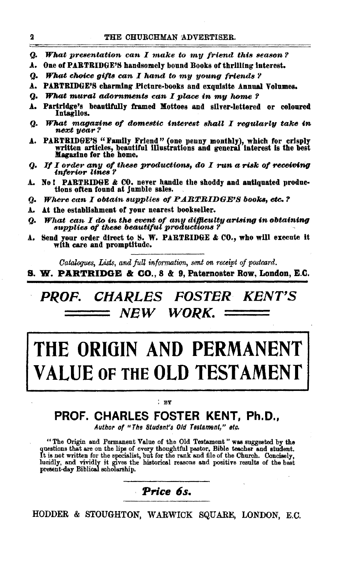- Q. **What presentation can I make to my friend this season?**
- One of PARTRIDGE'S handsomely bound Books of thrilling interest. Λ.
- **What choice gifts can I hand to my young friends?** Q.
- PARTRIDGE'S charming Picture-books and exquisite Annual Volumes. A.
- Q. What mural adornments can I place in my home?
- Partridge's beautifully framed Mottoes and silver-lettered or coloured Δ. Intaglios.
- What magazine of domestic interest shall I reqularly take in Q. next year?
- PARTRIDGE'S "Family Friend" (one penny monthly), which for crisply written articles, beautiful illustrations and general interest is the best А. Magazine for the home.
- If I order any of these productions, do I run a risk of receiving<br>inferior lines? Q.
- No! PARTRIDGE & CO. never handle the shoddy and antiquated produc-Α. tions often found at jumble sales.
- Q. Where can I obtain supplies of PARTRIDGE'S books, etc.?
- At the establishment of your nearest bookseller. A.
- What can I do in the event of any difficulty arising in obtaining Q. supplies of these beautiful productions?
- Send your order direct to S. W. PARTRIDGE & CO., who will execute it Α. with care and promptitude.

Catalogues, Lists, and full information, sent on receipt of postcard.

S. W. PARTRIDGE & CO., 8 & 9, Paternoster Row, London, E.C.

**CHARLES FOSTER KENT'S** *PROF.* NEW WORK.

# THE ORIGIN AND PERMANENT LUE OF THE OLD TESTAMENT

#### $^{\circ}$  RY

## PROF. CHARLES FOSTER KENT. Ph.D..

Author of "The Student's Old Testament," etc.

"The Origin and Permanent Value of the Old Testament" was suggested by the questions that are on the lips of every thoughtful pastor, Bible teacher and student. It is not written for the specialist, but for the rank and fi lucidly, and vividly it gives the historical reasons and positive results of the best present-day Biblical scholarship.

Price 6s.

HODDER & STOUGHTON, WARWICK SQUARE, LONDON, E.C.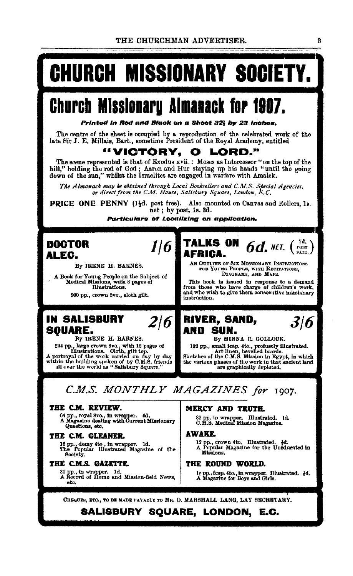THE CHURCHMAN ADVERTISER.

# Church Missionary Society.

# Church Missionary Almanack for 1907.

Printed in Red and Black on a Sheet 321 by 23 inches.

The centre of the sheet is occupied by a reproduction of the celebrated work of the late Sir J. E. Millais, Bart., sometime President of the Royal Academy, entitled

#### "VICTORY. LORD." О

The scene represented is that of Exodus xvii.: Moses as Intercessor "on the top of the hill," holding the rod of God; Asron and Hur staying up his hands "until the going down of the sun," whilst the Israelites are engaged in warfare with Amalek.

The Almanack may be obtained through Local Booksellers and C.M.S. Special Agencies, or direct from the C.M. House, Salisbury Square, London, E.C.

**PRICE ONE PENNY** (1<sup>1</sup>d. post free). Also mounted on Canvas and Rollers, 1s. aet; by post, 1s. 3d.

 $1/6$ 

 $2/6$ 

Particulars of Localizing on application,

## **DOCTOR** ALEC.

By IRENE H. BARNES.

A Book for Young People on the Subject of<br>Medical Missions, with 8 pages of<br>Illustrations.

200 pp., crown 8vo., eleth gilt.

## IN SALISBURY **SOUARE.**

By IRENE H. BARNES. 244 pp., large crown 8vo., with 18 pages of<br>
Hustrations. Cloth, gilt top.<br>
A portrayal of the work carried on day by day<br>
within the building spoken of by C.M.S. friends<br>
all over the world as "Salisbury Square." **TALKS ON**  $6d$ , NET.  $\left(\begin{array}{c} 7d \\ \text{PATE} \end{array}\right)$ AFRICA. AN OUTLINE OF SIX MISSIONARY INSTRUCTIONS FOR YOUNG PEOPLE, WITH RECITATIONS, DIAGRAMS, AND MAPS.

This book is issued in response to a demand<br>from those who have charge of children's work,<br>and who wish to give them consecutive missionary instruction.

#### **RIVER, SAND,**  $3/6$ AND SUN.

By MINNA C. GOLLOCK. 192 pp., small feap. 4to., profusely illustrated.<br>Art linen, bevelled boards.<br>Sketches of the C.M.S. Mission in Egypt, in which

the various phases of the work in agypt, in which<br>the various phases of the work in that ancient land

## C.M.S. MONTHLY MAGAZINES for 1907.

#### THE C.M. REVIEW.

64 pp., royal 8vo., in wrapper. 6d.<br>A Magasine dealing with Current Missionary Questions, etc.

#### THE C.M. GLEANER.

16 pp., demy 4to, in wrapper. 1d.<br>The Popular Illustrated Magazine of the Society.

#### THE C.M.S. GAZETTE.

32 pp., in wrapper. 1d.<br>A Record of Home and Mission-field News, eta.

#### MERCY AND TRUTH.

32 pp. in wrapper. Illustrated. 1d.<br>C.M.S. Medical Mission Magazine.

#### **AWAKE.**

12 pp., crown 4to, Illustrated, 1d.<br>A Popular Magazine for the Uneducated in Missions.

#### THE ROUND WORLD.

lg pp., fcap. 4to., in wrapper. Illustrated. dd.<br>A Magazine for Boys and Girls.

CHEQUES, ETC., TO BE MADE FAYABLE TO MR. D. MARSHALL LANG, LAT SECRETARY.

## SALISBURY SQUARE, LONDON, E.C.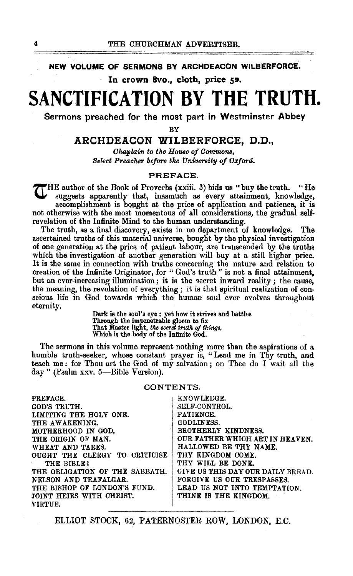NEW VOLUME OF SERMONS BY ARCHDEACON WILBERFORCE.

In crown 8vo., cloth, price 59.

# SANCTIFICATION BY THE TRUTH.

Sermons preached for the most part in Westminster Abbey

BY

### ARCHDEACON WILBERFORCE. D.D.,

Chaplain to the House of Commons. Select Preacher before the University of Oxford.

#### PREFACE.

THE author of the Book of Proverbs (xxiii. 3) bids us "buy the truth. "He suggests apparently that, inasmuch as every attainment, knowledge, accomplishment is bought at the price of application and patience, it is not otherwise with the most momentous of all considerations, the gradual selfrevelation of the Infinite Mind to the human understanding.

The truth, as a final discovery, exists in no department of knowledge. The ascertained truths of this material universe, bought by the physical investigation of one generation at the price of patient labour, are transcended by the truths which the investigation of another generation will buy at a still higher price. It is the same in connection with truths concerning the nature and relation to creation of the Infinite Originator, for "God's truth" is not a final attainment, but an ever-increasing illumination; it is the secret inward reality; the cause, the meaning, the revelation of everything; it is that spiritual realization of conscious life in God towards which the human soul ever evolves throughout eternity.

> Dark is the soul's eye ; yet how it strives and battles Through the impenetrable gloom to fix<br>That Master light, the secret truth of things, Which is the body of the Infinite God.

The sermons in this volume represent nothing more than the aspirations of a humble truth-seeker, whose constant prayer is, "Lead me in Thy truth, and teach me: for Thou art the God of my salvation; on Thee do I wait all the day " (Psalm xxv. 5-Bible Version).

#### CONTENTS.

| KNOWLEDGE.                        |
|-----------------------------------|
| SELF CONTROL.                     |
| PATIENCE.                         |
| <b>GODLINESS.</b>                 |
| BROTHERLY KINDNESS.               |
| OUR FATHER WHICH ART IN HEAVEN.   |
| HALLOWED BE THY NAME.             |
| THY KINGDOM COME.                 |
| THY WILL BE DONE.                 |
| GIVE US THIS DAY OUR DAILY BREAD. |
| FORGIVE US OUR TRESPASSES.        |
| LEAD US NOT INTO TEMPTATION.      |
| THINE IS THE KINGDOM.             |
|                                   |
|                                   |

ELLIOT STOCK, 62, PATERNOSTER ROW, LONDON, E.C.

4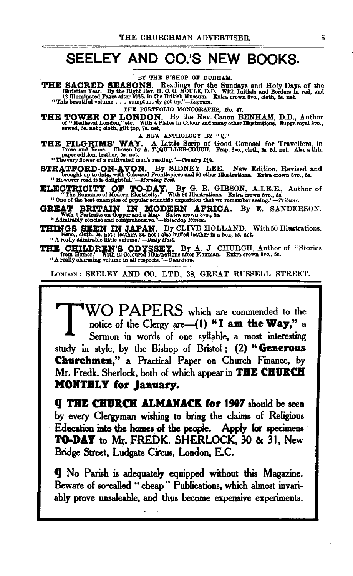## **SEELEY AND CO.'S NEW BOOKS.**

BY THE BISHOP OF DURHAM.

THE SACRED SEASONS. Readings for the Sundays and Holy Days of the Christian Year. By the Right Rev. H. C. G. MOULE, D.D. With Initials and Borders in red, and 12 Illuminated Pages after MSS. in the British Museum. Extra cr

THE PORTFOLIO MONOGRAPHS, No. 47.

THE TOWER OF LONDON. By the Rev. Canon BENHAM, D.D., Author of "Mediseval London," etc. With 4 Plates In Oolour and many other lllustrations. 8uper.royal8vo., aewed, 58. net; oloth, gilt top, 7s. net.

A NEW ANTHOLOGY BY "Q."

THE PILGRIMS' WAY. A Little Scrip of Good Counsel for Travellers, in Prose and Verse. Chosen by A. T. QUILLER-COUCH. Feap. 8vo., cloth, 3s. 6d. net. Also a thin paper edition, leather, 5s. (cloth, 3s. 6d. net. Also a thin

STRATFORD-ON-AVON. By SIDNEY LEE. New Edition, Revised and brought up to date, with Coloured Frontispiece and 50 other Illustrations. Extra crown Svo., 6s. "However read it is delightful."-Morning Post.

**ELECTRICITY OF TO-DAY**. By G. R. GIBSON, A.I.E.E., Author of "The Romance of Modern Electricity." With 80 illustrations. Extra crown 8vo., 5s.<br>"One of the best examples of popular scientific exposition that we remember se

**GREAT BRITAIN IN MODERN AFRICA.** By E. SANDERSON. With 4 Portraits on Oopper and a Map. Extra crown 8vo., 5s. (35.) The SANDERSON. "Admirably concise and comprehensive."—Saturday Review.

THINGS SEEN IN JAPAN. By CLIVE HOLLAND. With 50 Illustrations. 16mo., cloth, 2s. net; leather, Ss. net; also buffed leather in a box, 5s. net. "A really admirable little volume."-Daily Mail.

THE CHILDREN'S ODYSSEY. By A. J. CHURCH, Author of "Stories from Homer." With 12 Ooloured Illustrations after Flaxman. Extra crown Svo., 5s. "A really charming volume in all respects." *-Gua•·dian.* 

LONDON : SEELEY AND CO., LTD., 38, GREAT RUSSELL STREET.

WO PAPERS which are commended to the notice of the Clergy are-(1) "I **am the Way,"** a Sermon in words of one syllable, a most interesting study in style, by the Bishop of Bristol ; (2) " **Generous Churchmen," a** Practical Paper on Church Finance, by Mr. Fredk. Sherlock, both of which appear in **TBE CBUKCB MOKTBLY for January.** 

**q THE CHURCH ALMANACK for 1907** should be seen by every Clergyman wishing to bring the claims of Religious Education into the homes of the people. Apply for specimens TO-DAY to Mr. FREDK. SHERLOCK, 30 & 31, New Bridge Street, Ludgate Circus, London, E.C.

**tJ** No Parish is adequately equipped without this Magazine. Beware of so-called " cheap" Publications, which almost invariably prove unsaleable, and thus become expensive experiments.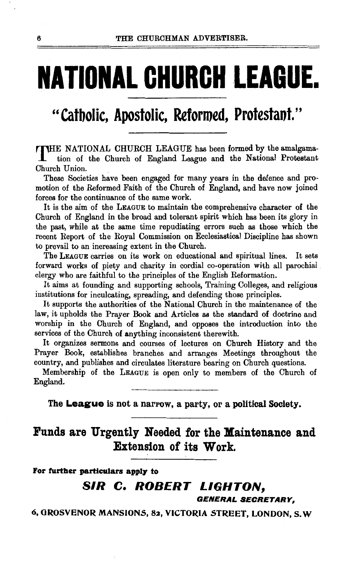# **NATIONAL CHURCH .LEAGUE.**

## " Catbolic, Apostolic, Reformed, Protestaot."

THE NATIONAL CHURCH LEAGUE has been formed by the amalgamation of the Church of England League and the National Protestant Church Union.

These Societies have been engaged for many years in the defence and promotion of the Reformed Faith of the Church of England, and have now joined forces for the continuance of the same work.

It is the aim of the LEAGUE to maintain the comprehensive character of the Church of England in the broad and tolerant spirit which has been its glory in the past, while at the same time repudiating errors such as those which the recent Report of the Royal Commission on Ecclesiastical Discipline has shown to prevail to an increasing extent in the Church.

The LEAGUE carries on its work on educational and spiritual lines. It sets forward works of piety and charity in cordial co-operation with all parochial clergy who are faithful to the principles of the English Reformation.

It aims at founding and supporting schools, Training Colleges, and religious institutions for inculcating, spreading, and defending those principles.

It supports the authorities of the National Church in the maintenance of the law, it upholds the Prayer Book and Articles as the standard of doctrine and worship in the Church of England, and opposes the introduction into the services of the Church of anything inconsistent therewith.

It organizes sermons and courses of lectures on Church History and the Prayer Book, establishes branches and arranges Meetings throughout the country, and publishes and circulates literature bearing on Church questions.

Membership of the LEAGUE is open only to members of the Church of England.

The **League** is not a narrow, a party, or a political Society.

Funds are Urgently Needed for the Maintenance and Extension of its Work.

For further particulars apply to

## SIR C. ROBERT LIGHTON,

GENERAL SECRETARY,

6, GROSVENOR MANSIONS, 82, VICTORIA STREET, LONDON, S. W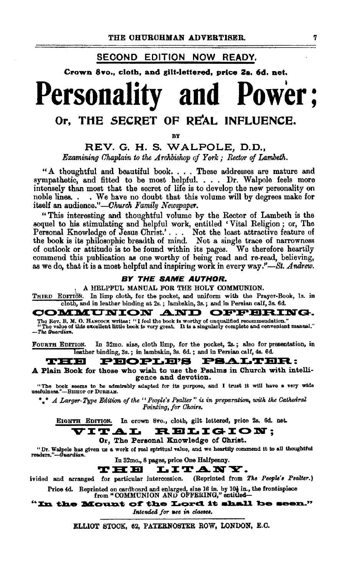### SECOND EDITION NOW READY.

Crown 8vo., cloth, and gilt·lettered, price Za. 6d. net.

# Personality and Power;

## Or. THE SECRET OF REAL INFLUENCE.

BY

REV. G. H. S. WALPOLE, D.D., *Examining Chaplain to the A rchlnshop of York* ; *Rector of Lambeth.* 

"A thoughtful and beautiful book. . . . These addresses are mature and sympathetic, and fitted to be most helpful. . . . Dr. Walpole feels more intensely than most that the secret of life is to develop the new personality on noble linea. • • We have no doubt that this volume will by degrees make for itself an audience."-Church Family Newspaper.

" This interesting and thoughtful volume by the Rector of Lambeth is the sequel to his stimulating and helpful work, entitled • Vital Religion ; or, The Personal Knowledge of Jesus Christ.'. . . Not the least attractive feature of the book is its philosophic breadth of mind. Not a single trace of narrowness of outlook or attitude is to be found within its pages. We therefore heartily commend this publication as one worthy of being read and re-read, believing, as we do, that it is a most helpful and inspiring work in every *way.''-St. Andrew.* 

#### BY THE SAME AUTHOR.

, A HELPFUL MANUAL FOR THE HOLY COMMUNION.

THIRD EDITION. In limp cloth, for the pocket, and uniform with the Prayer-Book, ls. in cloth, and in leather binding at 2s. ; lambskin, 3s. ; and in Persian calf, 3s. 6d.

COMMUTNION AND OFFFBIRING.

"The value of this excellent little book is very great. It is a singularly complete and convenient manual." -The Guardian.

FOURTH EDITION. In 32mo. size, cloth limp, for the pocket, 2s.; also for presentation, in

# **Leather binding, 3s.; in lambskin, 3s. 6d.; and in Persian calf, 4s. 6d. T:HR:** :

A Plain Book for those who wish to use the Psalms in Church with intelligence and devotion.

"The book seems to be admirably adapted for its purpose, and I trust it will have a very wide usefulness."---BisHOP or DuRHAM.

\* \* *A. Larger-Type Edition of the '' People's Psalter*" is in preparation, with the Cathedral *Pointing, for Choirs.* 

EIGHTH EDITION. In crown Svo., cloth, gilt lettered, price 2s. 6d. net.

ITAL RELIGION:

#### Or, The Personal Knowledge of Christ.

"Dr. Walpole has given us a work of real spiritual value, an.d we heartll,y commend lt to all thoughtful readers ... -Gtuwtiia».

In 32mo., 8 pages, price One Halfpenny.

**T: EI EI L. I T: A N Y.**<br>for particular intercession. (Reprinted from The People's Psalter.) ivided and arranged for particular intercession.

Price 4d. Reprinted on cardboard and enlarged, size 16 in. by 10t in., the frontispiece from "COMMUNION AND OFFERING," entitled—

"In the Mount of the Lord it shall be seen." Intended for use in classes.

ELLIOT STOCK, 62, PATERNOSTER ROW, LONDON, E.O.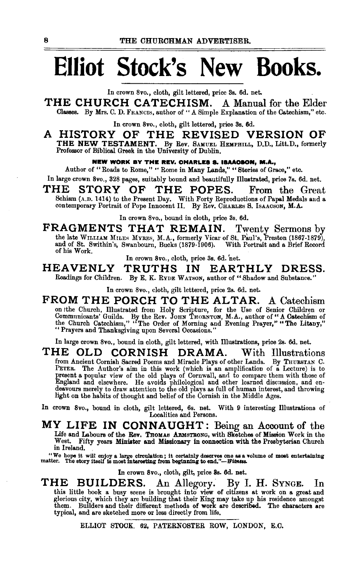# **Elliot Stock's New Books.**

In crown Svo., cloth, gilt lettered, price 3s. 6d. net.

**THE CHURCH CATECHISM.** A Manual for the Elder Classes. By Mrs. C. D. FRANCIS, author of " A Simple Explanation of the Catechism," etc.

In crown Svo., cloth, gilt lettered, price 3s. 6d.

**A HISTORY OF THE REVISED VERSION OF THE NEW TESTAMENT.** By Rev. SAMUEL HEMPHILL, D.D., Litt.D., formerly Professor of Biblical Greek in the University of Dublin.

**NEW WORK BY THE REV. CHARLES 8. ISAACSON, M.A.,** 

Author of "Roads to Rome," "Rome in Many Lands," "Stories of Grace," etc. In large crown Svo., 328 pages, suitably bound and beautifully Illustrated, price 7s. 6d. net.

**THE STORY OF THE POPES.** From the Great Schism (A.D. 1414) to the Present Day. With Forty Reproductions of Papal Medals and a contemporary Portrait of Pope Innocent II. By Rev. CHARLES S. IsAACSON, M.A.

In crown 8vo., bound in cloth, price 3s. 6d.

FRAGMENTS THAT REMAIN. Twenty Sermons by the late WILLIAM MILES MYRES, M.A., formerly Vicar of St. Paul's, Preston (1867-1879), and of St. Swithin's, Swanbourn, Bucks (1879-1906). With Portrait and a Brief Record of his Work.

In crown Svo., cloth, price 3s. 6d. 'net.

**HEAVENLY TRUTHS IN EARTHLY DRESS.**  Readings for Children. By E. K. RYDE WATSON, author of "Shadow and Substance."

In crown 8vo., cloth, gilt lettered, price 2s. 6d. net.

FROM THE PORCH TO THE ALTAR. A Catechism<br>on the Church, Illustrated from Holy Scripture, for the Use of Senior Children or<br>Communicants' Guilds. By the Rev. JOHN THORNTON, M.A., author of "A Catechism of<br>the Church Catechi

In large crown Svo., bound in cloth, gilt lettered, with Illustrations, price 2s. 6d. net.

THE OLD CORNISH DRAMA. With Illustrations<br>from Ancient Cornish Sacred Poems and Miracle Plays of other Lands. By THUBSTAN C.<br>PETER. The Author's aim in this work (which is an amplification of a Lecture) is to<br>present a pop

In crown Svo., bound in cloth, gilt lettered, 6s. net. With 9 interesting Illustrations of Localities and Persons.

**MY LIFE IN CONN AUGHT:** Being an Account of the Life and Labours of the Rev. THOMAS ARMSTRONG, with Sketches of Mission Work in the West. Fifty years Minister and Missionary in connection with the Presbyterian Church in Ireland.

"We hope it will enjoy a large circulation; it certainly deserves one as a volume of most entertaining matter. The story itself is most interesting from beginning to end."--*Witness*.

In crown 8vo., cloth, gilt, price 8s. 6d. net.

THE BUILDERS. An Allegory. By I. H. SYNGE. In this little book a busy scene is brought into view of citizens at work on a great and glorious city, which they are building that their King may take up his residence amongst them. Builders and their different methods of work are described. The characters are typical, and are sketched more or less directly from life.

ELLIOT STOCK. 62, PATERNOSTER ROW, LONDON, E.C.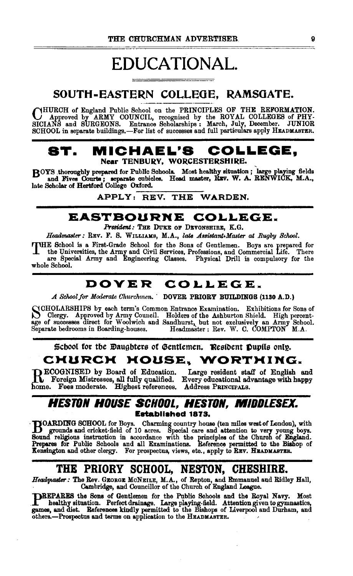## EDUCATIONAL.

SOUTH-EASTERN COLLEGE, RAMSOATE.

CHURCH of England Public School on the PRINCIPLES OF THE REFORMATION.<br>SICIANS and SURGEONS. Entrance Scholarships : March, July, December. JUNIOR<br>SCHOOL in separate buildings.—For list of successes and full particulars app

## ST. MICHAEL'S COLLEGE, Near TENBURY, WORCESTERSHIRE.

BOYS thoroughly prepared for Public Schools. Most healthy situation; large playing fields and Fives Courts; separate cubicles. Head master, REV. W. A. RENWICK, M.A., and Fives Courts; separate oubides. Head master, REV. W. A.<br>late Scholar of Heriford College Oxford.<br>APPLY: REV. THE WARDEN.

## EASTBOURNE COLLEGE.

*President:* Tm: DuKE OF DEVONSHIRE, K.G.

Headmaster: REV. F. S. WILLIAMS, M.A., *late Assistant+Master at Rugby School*.

THE School is a First-Grade School for the Sons of Gentlemen. Boys are prepared for<br>the Universities, the Army and Civil Services, Professions, and Commercial Life. There<br>are Special Army and Engineering Classes. Physical whole School.

## DOVER COLLEGE.

*.A School for Moderate Churchmen •* . DOVER PRIORY BUILDINGS (1130 A.D.)

SCHOLARSHIPS by each term's Common Entrance Examination. Exhibitions for Sons of Clergy. Approved by Army Council. Holders of the Ashburton Shield. High percent-<br>Common of successors direct for Woolwich and Sandburtot but age of successes direct for Woolwich and Sandhurst, but not exclusively an Army School.<br>Separate bedrooms in Boarding-houses. Headmaster : Rev. W. C. COMPTON M.A.

Scbool for the Daughters of Gentlemen. Resident Pupils only.

## CHURCH HOUSE, WORTHING.

ECOGNISED by Board of Education. Large resident staff of English and

**b** Foreign Mistresses, all fully qualified. Every educational advantage with happy me. Fees moderate. Highest references. Address PRINCIPALS.

## *HESTON HOUSE SCHOOL, HESTON, MIDDLESEX.*  Eatabliahed 1873.

DOARDING SCHOOL for Boys. Charming country house (ten miles west of London), with grounds and cricket-field of 10 acres. Special care and attention to very young boys. Sound religious instruction in accordance with the pri Kensington and other clergy. For prospectus, views, etc., apply to REV. HEADMABTER.

THE PRIORY SCHOOL, NESTON, CHESHIRE.<br>Headmaster: The Rev. GEORGE MONEILE, M.A., of Repton, and Emmanuel and Ridley Hall,<br>Cambridge, and Councillor of the Church of England League.

DREPARES the Sons of Gentlemen for the Public Schools and the Royal Navy. Most<br>healthy situation. Perfect drainage. Large playing-field. Attention given to gymnastics,<br>games, and diet. References kindly permitted to the Bi others.-Prospectus and terms on application to the HEADMASTER.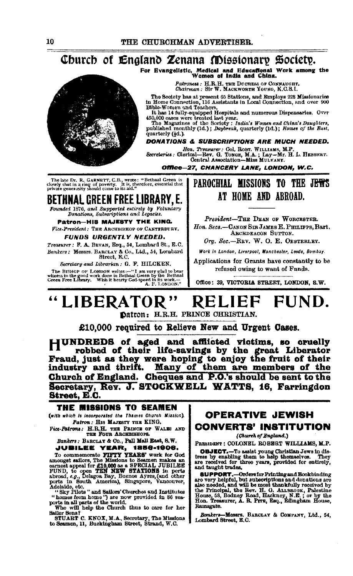## Church of England Zenana Missionary Society.

For Evangelistic, Medical and Educational Work among the Women of India and China.

Patroness: H.R.H. THE DOCHESS OF CONNAUGHT.

Chairman: Sir W. MACKWORTH YOUNG, K.C.S.I.

The Society has at present 65 Stations, and Employs 228 Missionaries<br>in Home Connection, 116 Assistants in Local Connection, and over 900<br>Bible-Women and Teachers.

Dissemble and Research Hospitals and numerous Dispensaries. Over 450,000 cases were treated last year.<br>The Magazines of the Society: India's Women and China's Daughters,<br>The Magazines of the Society: India's Women and Chin

quarterly (&d.).

#### DONATIONS & SUBSCRIPTIONS ARE MUCH NEEDED.

Hon, Treasurer: Gol, ROBT, WILLIAMS, M.P.<br>Secretaries: Clerical—Rev. G. TONGE, M.A.; Lay—Mr. H. L. HEBBERT.<br>Gentral Association—Miss MULVANY.

Office--27, CHANCERY LANE, LONDON, W.C.

The late Dr. R. GARNETT, C.B., wrote: "Bethnal Green is closely shut in a ring of poverty. It is, therefore, essential that private generosity should come to its aid."

**BETHNAL CREEN FREE LIBRARY, E.** 

Founded 1876, and Supported entirely by Voluniary<br>Donations, Subscriptions and Legacies.

#### Patron-HIS MAJESTY THE KING. Fice-President: THE ARCHBISHOP OF CANTERBURY. **FUNDS URGENTLY NEEDED.**

Treasurer: F. A. BEVAN, Esq., 54, Lombard St., E.C. Bankers: Messrs. BARCLAY & Co., Ltd., 54, Lombard Street, E.C.

Secretary and Librarian : G. F. HILCKEN.

The BISHOP OF LONDON writes:—"I am very glad to bear<br>witness to the good work done in Bethnal Green by the Bethnal<br>Green Free Library. Wish it hearty God-speed in its work.— A. F. LONDON."

## PAROCHIAL MISSIONS TO THE J<del>EWS</del> AT HOME AND ARROAD.

President-THE DEAN OF WORCESTER. Hon. Secs.-CANON SIR JAMES E. PHILIPPS, Bart. ABCHDEACON SUTTON.

Org. Sec.-REV. W. O. E. OESTERLEY.

Work in London, Liverpool, Manchester, Leeds, Bombay.

Applications for Grants have constantly to be refused owing to want of Funds.

Office: 39, VICTORIA STREET, LONDON, S.W.

#### "LIBERATOR" FUND. RELIEF

Datron: H.R.H. PRINCE CHRISTIAN.

£10,000 required to Relieve New and Urgent Cases.

HUNDREDS of aged and afflicted victims, so cruelly robbed of their life-savings by the great Liberator Fraud, just as they were hoping to enjoy the fruit of their industry and thrift. Many of them are members of the Church of England. Cheques and P.O.'s should be sent to the Secretary, Rev. J. STOCKWELL WATTS, 16, Farringdon Street, E.C.

#### THE MISSIONS TO SEAMEN

(with which is incorporated the Thames Church Mission). Patron: HIS MAJESTY THE KING.

Fice-Patrons: H.R.H. THE PRINCE OF WALES AND THE FOUR ARCHBISHOPS.

Bankers: BARCLAY & Co., Pall Mall East, S.W. **JUBILEE YEAR, 1856-1906.** 

JUBILEE VEAR, 1886-19905.<br>
To commemorate PIFTY YEARS work for God<br>
amongst salors, The Missions to Seamen makes an<br>
exnest appeal for £10,000 as a SPECIAL JUBILEE<br>
FUND, to open TEN NEW STATIONS in ports<br>
ports in South A

owy rates and used on the box provided in 80 sec-<br>"homes from home") are now provided in 80 sec-<br>ports in all parts of the world.<br>Who will help the Clurch thus to care for her<br>Baller Bone?

STUART C. KNOX, M.A., Secretary, The Missions to Seamen, 11, Buckingham Street, Strand, W.C.

## **OPERATIVE JEWISH CONVERTS' INSTITUTION**

(Church of England.)

PRESIDENT : COLONEL ROBERT WILLIAMS, M.P.

**OBJECT.**-To assist young Christian Jews in distress by enabling them to help themselves. They are received for three years, provided for entirely, and taught trades.

Ramsgate.

Messrs. BARCLAY & COMPANY, Ltd., 54, **Bankers** Lombard Street, E.C.

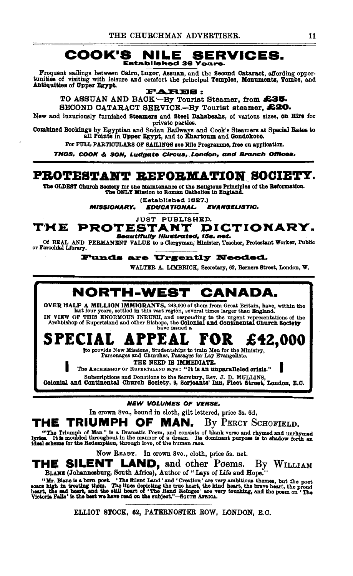#### COOK'S **SERVICES.** NILE **Established 36 Years.**

Frequent sailings between Cairo, Luxor, Assuan, and the Second Cataract, affording opportunities of visiting with leisure and comfort the principal Temples, Monuments, Tombs, and Antiquities of Upper Egypt.

**FARES:** TO ASSUAN AND BACK-By Tourist Steamer, from £35. SECOND CATARACT SERVICE.-By Tourist steamer, £20.

New and luxuriously furnished Steamers and Steel Dahabeahs, of various sizes, on Hire for private parties.

Combined Bookings by Egyptian and Sudan Railways and Cook's Steamers at Special Rates to all Points in Upper Egypt, and to Khartoum and Gondokoro.

For FULL PARTICULARS OF SAILINGS see Nile Programme, free on application.

THOS. COOK & SON, Ludgate Circus, London, and Branch Offices.

## PROTESTANT REFORMATION SOCIETY.

The OLDEST Church Society for the Maintenance of the Religious Principles of the Reformation.<br>The ONLY Mission to Roman Catholics in England.

(Established 1827.)

**MISSIONARY. EDUCATIONAL. EVANGELISTIC.** 

**JUST PUBLISHED.** 

#### **PROTESTANT** T'M E DICTIONARY. Beautifully Illustrated, 15s. net.

Of REAL AND PERMANENT VALUE to a Clergyman, Minister, Teacher, Protestant Worker, Public or Farochial Library.

**Funds are Urgently Needed.** 

WALTER A. LIMBRICK, Secretary, 62, Berners Street, London, W.

## NORTH-WEST CANADA.

OVER HALF A MILLION IMMIGRANTS, 243,000 of them from Great Britain, have, within the last four years, settled in this vast region, several times larger than England. IN VIEW OF THIS ENORMOUS INRUSH, and responding to the urgent representations of the Archbishop of Rupertsland and other Bishops, the Colonial and Continental Church Society

#### **PEA** SPECIA £42.000 ò

to provide New Missions, Studentships to train Men for the Ministry,<br>Parsonages and Churches, Passages for Lay Evangelists.

THE NEED IS IMMEDIATE.

The ARCHBISHOP OF RUPERTSLAND Says: "It is an unparalleled crisis."

Subscriptions and Donations to the Secretary, Rev. J. D. MULLINS,<br>Colonial and Continental Church Society, 9, Serjeants' Inn, Pleet Street, London, E.C.

#### **NEW VOLUMES OF VERSE.**

In crown 8vo., bound in cloth, gilt lettered, price 3s. 6d,

#### TRIUMPH OF MAN. By PERCY SCHOFIELD. THE

"The Triumph of Man" is a Dramatic Poem, and consists of blank verse and rhymed and unrhymed<br>lyrics. It is moulded throughout in the manner of a dream. Its dominant purpose is to shadow forth an<br>ideal scheme for the Redemp

Now READY. In crown 8vo., cloth, price 5s. net.

# THE SILENT LAND, and other Poems. By WILLIAM BLANS (Johannesburg, South Africa), Author of "Lays of Life and Hope."

Mr. Blane is a born poet. 'The Silent Land' and 'Oreation' are very ambitious themes, but the poet<br>soars high in treating them. The lilnes depicting the true heart, the kind heart, the brave heart, the proud<br>heart, the bra

ELLIOT STOCK, 62, PATERNOSTER ROW, LONDON, E.C.